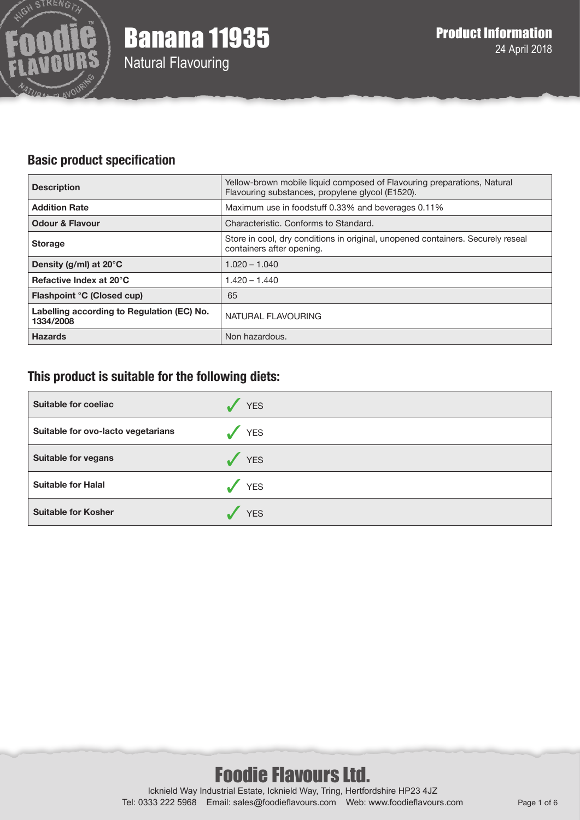

# **Basic product specification**

| <b>Description</b>                                      | Yellow-brown mobile liquid composed of Flavouring preparations, Natural<br>Flavouring substances, propylene glycol (E1520). |
|---------------------------------------------------------|-----------------------------------------------------------------------------------------------------------------------------|
| <b>Addition Rate</b>                                    | Maximum use in foodstuff 0.33% and beverages 0.11%                                                                          |
| <b>Odour &amp; Flavour</b>                              | Characteristic. Conforms to Standard.                                                                                       |
| <b>Storage</b>                                          | Store in cool, dry conditions in original, unopened containers. Securely reseal<br>containers after opening.                |
| Density (g/ml) at $20^{\circ}$ C                        | $1.020 - 1.040$                                                                                                             |
| Refactive Index at 20°C                                 | 1.420 – 1.440                                                                                                               |
| Flashpoint °C (Closed cup)                              | 65                                                                                                                          |
| Labelling according to Regulation (EC) No.<br>1334/2008 | NATURAL FLAVOURING                                                                                                          |
| <b>Hazards</b>                                          | Non hazardous.                                                                                                              |

# **This product is suitable for the following diets:**

| <b>Suitable for coeliac</b>        | <b>YES</b> |
|------------------------------------|------------|
| Suitable for ovo-lacto vegetarians | <b>YES</b> |
| <b>Suitable for vegans</b>         | <b>YES</b> |
| <b>Suitable for Halal</b>          | <b>YES</b> |
| <b>Suitable for Kosher</b>         | <b>YES</b> |

# Foodie Flavours Ltd.

Icknield Way Industrial Estate, Icknield Way, Tring, Hertfordshire HP23 4JZ Tel: 0333 222 5968 Email: sales@foodieflavours.com Web: www.foodieflavours.com Page 1 of 6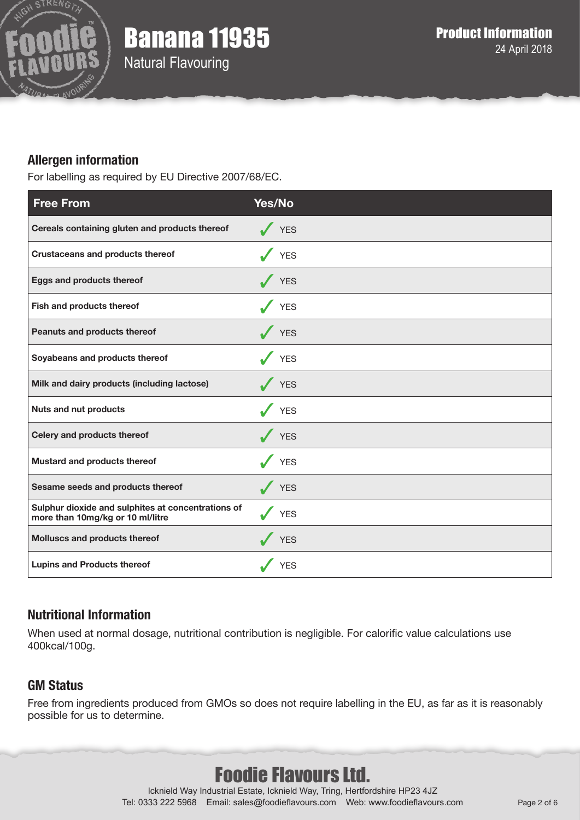

# Banana 11935

Natural Flavouring

# **Allergen information**

For labelling as required by EU Directive 2007/68/EC.

| <b>Free From</b>                                                                       | <b>Yes/No</b> |
|----------------------------------------------------------------------------------------|---------------|
| Cereals containing gluten and products thereof                                         | $\sqrt{YES}$  |
| <b>Crustaceans and products thereof</b>                                                | V YES         |
| Eggs and products thereof                                                              | V YES         |
| Fish and products thereof                                                              | YES           |
| Peanuts and products thereof                                                           | V YES         |
| Soyabeans and products thereof                                                         | YES           |
| Milk and dairy products (including lactose)                                            | $\sqrt{YES}$  |
| <b>Nuts and nut products</b>                                                           | $\sqrt{YES}$  |
| Celery and products thereof                                                            | V YES         |
| Mustard and products thereof                                                           | <b>YES</b>    |
| Sesame seeds and products thereof                                                      | YES           |
| Sulphur dioxide and sulphites at concentrations of<br>more than 10mg/kg or 10 ml/litre | <b>YES</b>    |
| Molluscs and products thereof                                                          | $\sqrt{YES}$  |
| <b>Lupins and Products thereof</b>                                                     | <b>YES</b>    |

# **Nutritional Information**

When used at normal dosage, nutritional contribution is negligible. For calorific value calculations use 400kcal/100g.

# **GM Status**

Free from ingredients produced from GMOs so does not require labelling in the EU, as far as it is reasonably possible for us to determine.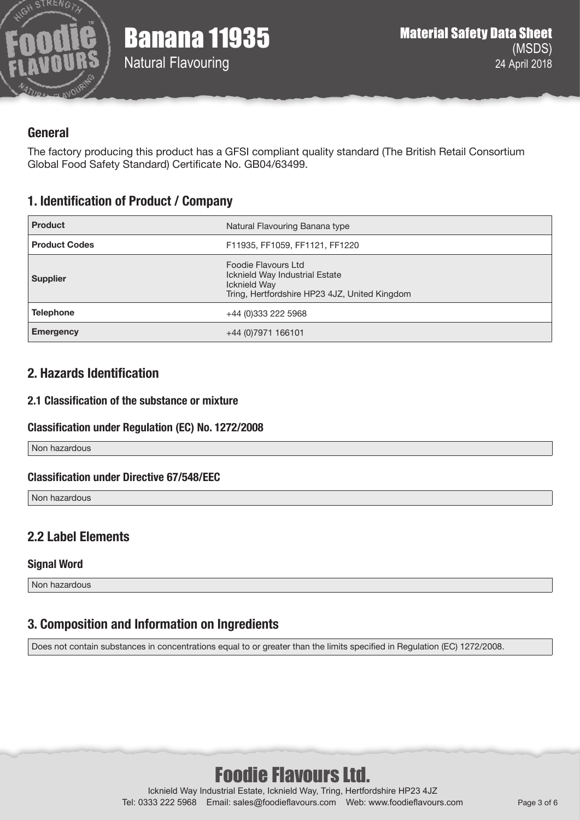

## **General**

The factory producing this product has a GFSI compliant quality standard (The British Retail Consortium Global Food Safety Standard) Certificate No. GB04/63499.

# **1. Identification of Product / Company**

| <b>Product</b>       | Natural Flavouring Banana type                                                                                         |
|----------------------|------------------------------------------------------------------------------------------------------------------------|
| <b>Product Codes</b> | F11935, FF1059, FF1121, FF1220                                                                                         |
| <b>Supplier</b>      | Foodie Flavours Ltd<br>Icknield Way Industrial Estate<br>Icknield Way<br>Tring, Hertfordshire HP23 4JZ, United Kingdom |
| <b>Telephone</b>     | +44 (0)333 222 5968                                                                                                    |
| <b>Emergency</b>     | +44 (0) 7971 166101                                                                                                    |

#### **2. Hazards Identification**

#### **2.1 Classification of the substance or mixture**

#### **Classification under Regulation (EC) No. 1272/2008**

Non hazardous

#### **Classification under Directive 67/548/EEC**

Non hazardous

# **2.2 Label Elements**

#### **Signal Word**

Non hazardous

# **3. Composition and Information on Ingredients**

Does not contain substances in concentrations equal to or greater than the limits specified in Regulation (EC) 1272/2008.

# Foodie Flavours Ltd.

Icknield Way Industrial Estate, Icknield Way, Tring, Hertfordshire HP23 4JZ Tel: 0333 222 5968 Email: sales@foodieflavours.com Web: www.foodieflavours.com Page 3 of 6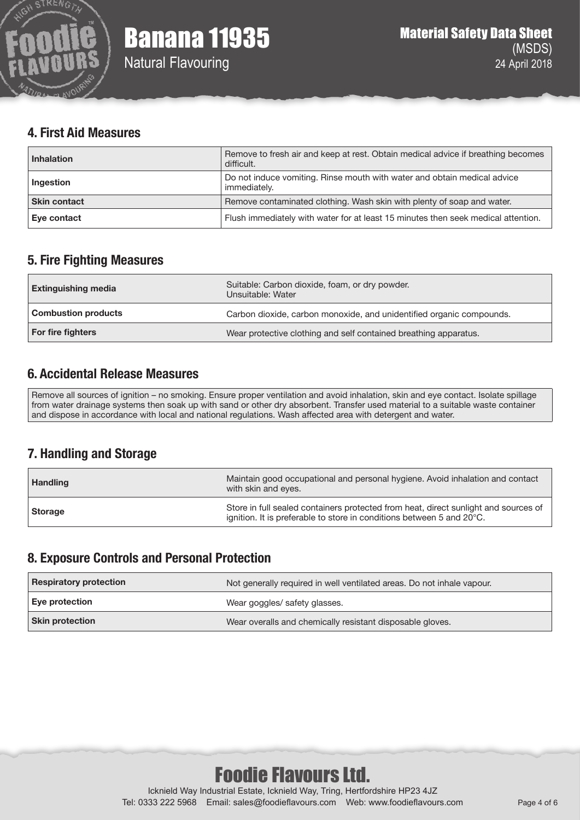

#### **4. First Aid Measures**

| <b>Inhalation</b>   | Remove to fresh air and keep at rest. Obtain medical advice if breathing becomes<br>difficult. |
|---------------------|------------------------------------------------------------------------------------------------|
| Ingestion           | Do not induce vomiting. Rinse mouth with water and obtain medical advice<br>immediately.       |
| <b>Skin contact</b> | Remove contaminated clothing. Wash skin with plenty of soap and water.                         |
| Eye contact         | Flush immediately with water for at least 15 minutes then seek medical attention.              |

# **5. Fire Fighting Measures**

| <b>Extinguishing media</b> | Suitable: Carbon dioxide, foam, or dry powder.<br>Unsuitable: Water  |
|----------------------------|----------------------------------------------------------------------|
| <b>Combustion products</b> | Carbon dioxide, carbon monoxide, and unidentified organic compounds. |
| For fire fighters          | Wear protective clothing and self contained breathing apparatus.     |

# **6. Accidental Release Measures**

Remove all sources of ignition – no smoking. Ensure proper ventilation and avoid inhalation, skin and eye contact. Isolate spillage from water drainage systems then soak up with sand or other dry absorbent. Transfer used material to a suitable waste container and dispose in accordance with local and national regulations. Wash affected area with detergent and water.

# **7. Handling and Storage**

| <b>Handling</b> | Maintain good occupational and personal hygiene. Avoid inhalation and contact<br>with skin and eyes.                                                         |
|-----------------|--------------------------------------------------------------------------------------------------------------------------------------------------------------|
| Storage         | Store in full sealed containers protected from heat, direct sunlight and sources of<br>ignition. It is preferable to store in conditions between 5 and 20°C. |

#### **8. Exposure Controls and Personal Protection**

| <b>Respiratory protection</b> | Not generally required in well ventilated areas. Do not inhale vapour. |
|-------------------------------|------------------------------------------------------------------------|
| Eye protection                | Wear goggles/ safety glasses.                                          |
| <b>Skin protection</b>        | Wear overalls and chemically resistant disposable gloves.              |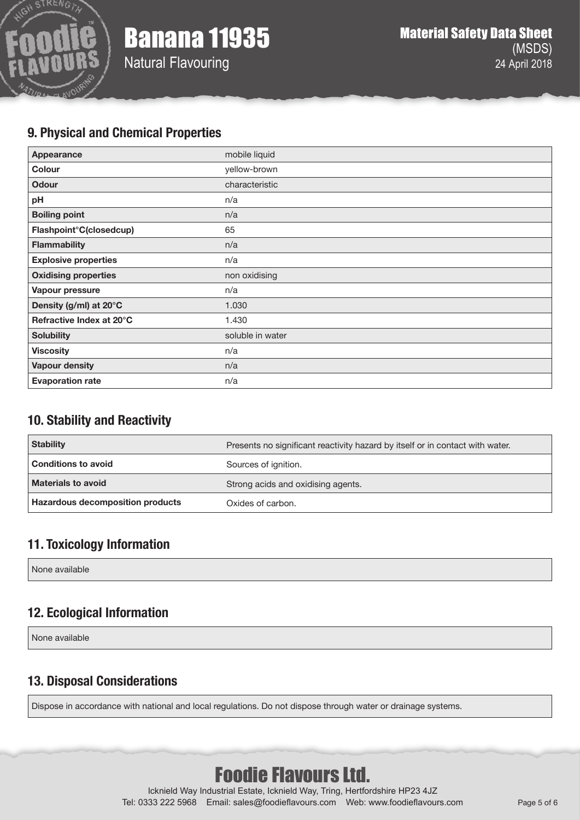

Natural Flavouring

### **9. Physical and Chemical Properties**

| <b>Appearance</b>           | mobile liquid    |
|-----------------------------|------------------|
| Colour                      | yellow-brown     |
| <b>Odour</b>                | characteristic   |
| pH                          | n/a              |
| <b>Boiling point</b>        | n/a              |
| Flashpoint°C(closedcup)     | 65               |
| <b>Flammability</b>         | n/a              |
| <b>Explosive properties</b> | n/a              |
| <b>Oxidising properties</b> | non oxidising    |
| Vapour pressure             | n/a              |
| Density (g/ml) at 20°C      | 1.030            |
| Refractive Index at 20°C    | 1.430            |
| <b>Solubility</b>           | soluble in water |
| <b>Viscosity</b>            | n/a              |
| <b>Vapour density</b>       | n/a              |
| <b>Evaporation rate</b>     | n/a              |

# **10. Stability and Reactivity**

| <b>Stability</b>                 | Presents no significant reactivity hazard by itself or in contact with water. |
|----------------------------------|-------------------------------------------------------------------------------|
| <b>Conditions to avoid</b>       | Sources of ignition.                                                          |
| <b>Materials to avoid</b>        | Strong acids and oxidising agents.                                            |
| Hazardous decomposition products | Oxides of carbon.                                                             |

# **11. Toxicology Information**

None available

# **12. Ecological Information**

None available

# **13. Disposal Considerations**

Dispose in accordance with national and local regulations. Do not dispose through water or drainage systems.